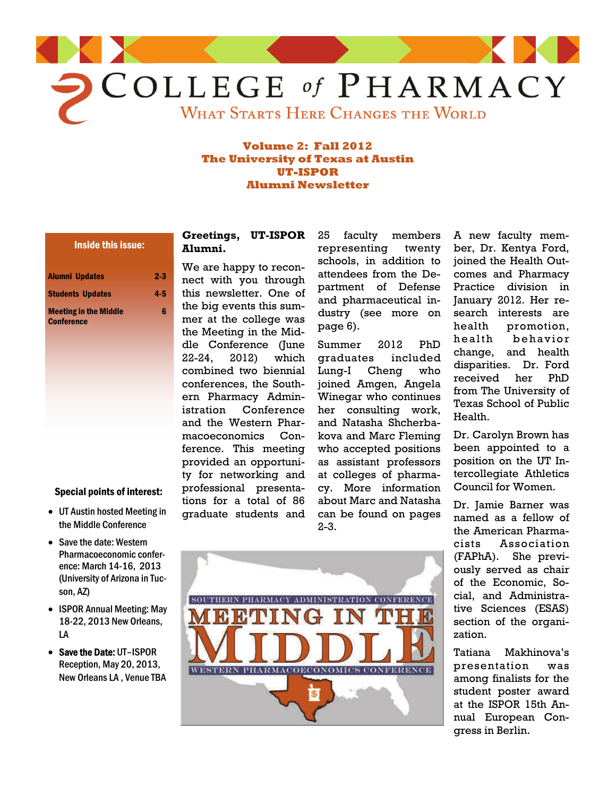

#### **Volume 2: Fall 2012 The University of Texas at Austin UT-ISPOR Alumni Newsletter**

# Inside this issue:

| <b>Alumni Updates</b><br><b>Students Updates</b> | $2-3$<br>$4-5$ |
|--------------------------------------------------|----------------|
|                                                  |                |
| <b>Conference</b>                                |                |

## Special points of interest:

- UT Austin hosted Meeting in the Middle Conference
- Save the date: Western Pharmacoeconomic conference: March 14-16, 2013 (University of Arizona in Tucson, AZ)
- ISPOR Annual Meeting: May 18-22, 2013 New Orleans, LA
- Save the Date: UT-ISPOR Reception, May 20, 2013, New Orleans LA , Venue TBA

#### **Greetings, UT-ISPOR Alumni.**

We are happy to reconnect with you through this newsletter. One of the big events this summer at the college was the Meeting in the Middle Conference (June 22-24, 2012) which combined two biennial conferences, the Southern Pharmacy Administration Conference and the Western Pharmacoeconomics Conference. This meeting provided an opportunity for networking and professional presentations for a total of 86 graduate students and 25 faculty members representing twenty schools, in addition to attendees from the Department of Defense and pharmaceutical industry (see more on page 6).

Summer 2012 PhD graduates included Lung-I Cheng who joined Amgen, Angela Winegar who continues her consulting work, and Natasha Shcherbakova and Marc Fleming who accepted positions as assistant professors at colleges of pharmacy. More information about Marc and Natasha can be found on pages 2-3.

A new faculty member, Dr. Kentya Ford, joined the Health Outcomes and Pharmacy Practice division in January 2012. Her research interests are health promotion, health behavior change, and health disparities. Dr. Ford received her PhD from The University of Texas School of Public Health.

Dr. Carolyn Brown has been appointed to a position on the UT Intercollegiate Athletics Council for Women.

Dr. Jamie Barner was named as a fellow of the American Pharmacists Association (FAPhA). She previously served as chair of the Economic, Social, and Administrative Sciences (ESAS) section of the organization.

Tatiana Makhinova's presentation was among finalists for the student poster award at the ISPOR 15th Annual European Congress in Berlin.

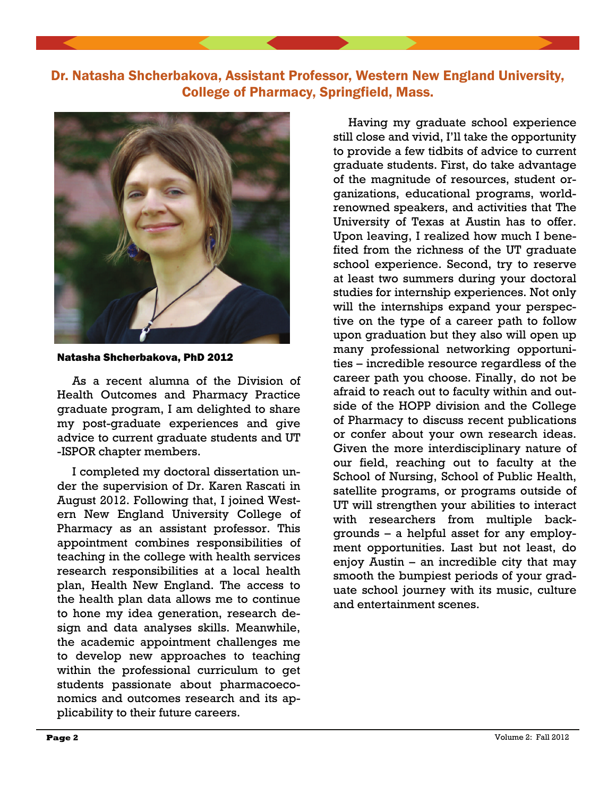



Natasha Shcherbakova, PhD 2012

 As a recent alumna of the Division of Health Outcomes and Pharmacy Practice graduate program, I am delighted to share my post-graduate experiences and give advice to current graduate students and UT -ISPOR chapter members.

 I completed my doctoral dissertation under the supervision of Dr. Karen Rascati in August 2012. Following that, I joined Western New England University College of Pharmacy as an assistant professor. This appointment combines responsibilities of teaching in the college with health services research responsibilities at a local health plan, Health New England. The access to the health plan data allows me to continue to hone my idea generation, research design and data analyses skills. Meanwhile, the academic appointment challenges me to develop new approaches to teaching within the professional curriculum to get students passionate about pharmacoeconomics and outcomes research and its applicability to their future careers.

 Having my graduate school experience still close and vivid, I'll take the opportunity to provide a few tidbits of advice to current graduate students. First, do take advantage of the magnitude of resources, student organizations, educational programs, worldrenowned speakers, and activities that The University of Texas at Austin has to offer. Upon leaving, I realized how much I benefited from the richness of the UT graduate school experience. Second, try to reserve at least two summers during your doctoral studies for internship experiences. Not only will the internships expand your perspective on the type of a career path to follow upon graduation but they also will open up many professional networking opportunities – incredible resource regardless of the career path you choose. Finally, do not be afraid to reach out to faculty within and outside of the HOPP division and the College of Pharmacy to discuss recent publications or confer about your own research ideas. Given the more interdisciplinary nature of our field, reaching out to faculty at the School of Nursing, School of Public Health, satellite programs, or programs outside of UT will strengthen your abilities to interact with researchers from multiple backgrounds – a helpful asset for any employment opportunities. Last but not least, do enjoy Austin – an incredible city that may smooth the bumpiest periods of your graduate school journey with its music, culture and entertainment scenes.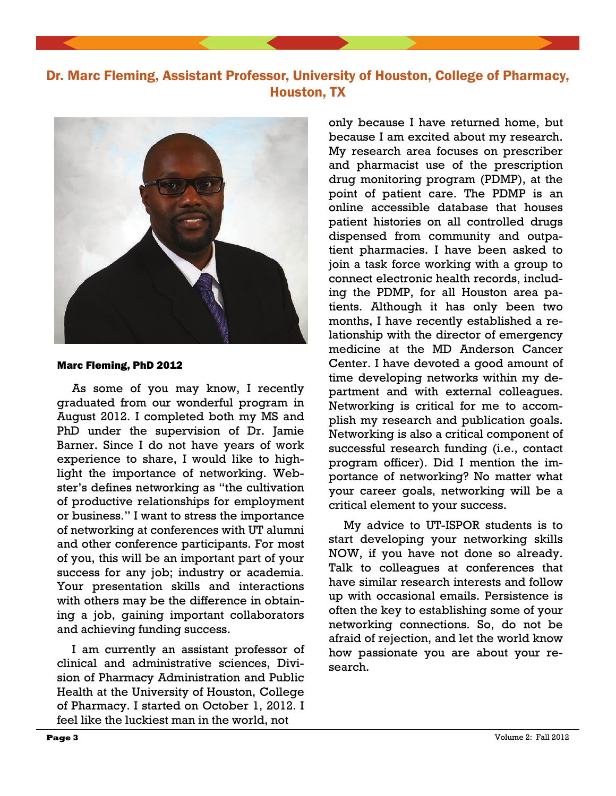



#### Marc Fleming, PhD 2012

 As some of you may know, I recently graduated from our wonderful program in August 2012. I completed both my MS and PhD under the supervision of Dr. Jamie Barner. Since I do not have years of work experience to share, I would like to highlight the importance of networking. Webster's defines networking as "the cultivation of productive relationships for employment or business." I want to stress the importance of networking at conferences with UT alumni and other conference participants. For most of you, this will be an important part of your success for any job; industry or academia. Your presentation skills and interactions with others may be the difference in obtaining a job, gaining important collaborators and achieving funding success.

 I am currently an assistant professor of clinical and administrative sciences, Division of Pharmacy Administration and Public Health at the University of Houston, College of Pharmacy. I started on October 1, 2012. I feel like the luckiest man in the world, not

only because I have returned home, but because I am excited about my research. My research area focuses on prescriber and pharmacist use of the prescription drug monitoring program (PDMP), at the point of patient care. The PDMP is an online accessible database that houses patient histories on all controlled drugs dispensed from community and outpatient pharmacies. I have been asked to join a task force working with a group to connect electronic health records, including the PDMP, for all Houston area patients. Although it has only been two months, I have recently established a relationship with the director of emergency medicine at the MD Anderson Cancer Center. I have devoted a good amount of time developing networks within my department and with external colleagues. Networking is critical for me to accomplish my research and publication goals. Networking is also a critical component of successful research funding (i.e., contact program officer). Did I mention the importance of networking? No matter what your career goals, networking will be a critical element to your success.

 My advice to UT-ISPOR students is to start developing your networking skills NOW, if you have not done so already. Talk to colleagues at conferences that have similar research interests and follow up with occasional emails. Persistence is often the key to establishing some of your networking connections. So, do not be afraid of rejection, and let the world know how passionate you are about your research.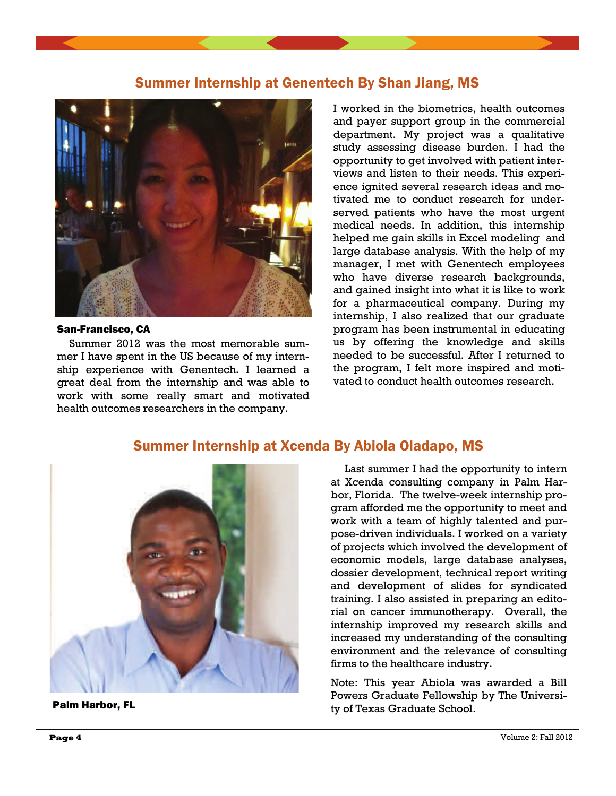## Summer Internship at Genentech By Shan Jiang, MS



#### San-Francisco, CA

 Summer 2012 was the most memorable summer I have spent in the US because of my internship experience with Genentech. I learned a great deal from the internship and was able to work with some really smart and motivated health outcomes researchers in the company.

I worked in the biometrics, health outcomes and payer support group in the commercial department. My project was a qualitative study assessing disease burden. I had the opportunity to get involved with patient interviews and listen to their needs. This experience ignited several research ideas and motivated me to conduct research for underserved patients who have the most urgent medical needs. In addition, this internship helped me gain skills in Excel modeling and large database analysis. With the help of my manager, I met with Genentech employees who have diverse research backgrounds, and gained insight into what it is like to work for a pharmaceutical company. During my internship, I also realized that our graduate program has been instrumental in educating us by offering the knowledge and skills needed to be successful. After I returned to the program, I felt more inspired and motivated to conduct health outcomes research.

## Summer Internship at Xcenda By Abiola Oladapo, MS



Palm Harbor, FL

 Last summer I had the opportunity to intern at Xcenda consulting company in Palm Harbor, Florida. The twelve-week internship program afforded me the opportunity to meet and work with a team of highly talented and purpose-driven individuals. I worked on a variety of projects which involved the development of economic models, large database analyses, dossier development, technical report writing and development of slides for syndicated training. I also assisted in preparing an editorial on cancer immunotherapy. Overall, the internship improved my research skills and increased my understanding of the consulting environment and the relevance of consulting firms to the healthcare industry.

Note: This year Abiola was awarded a Bill Powers Graduate Fellowship by The University of Texas Graduate School.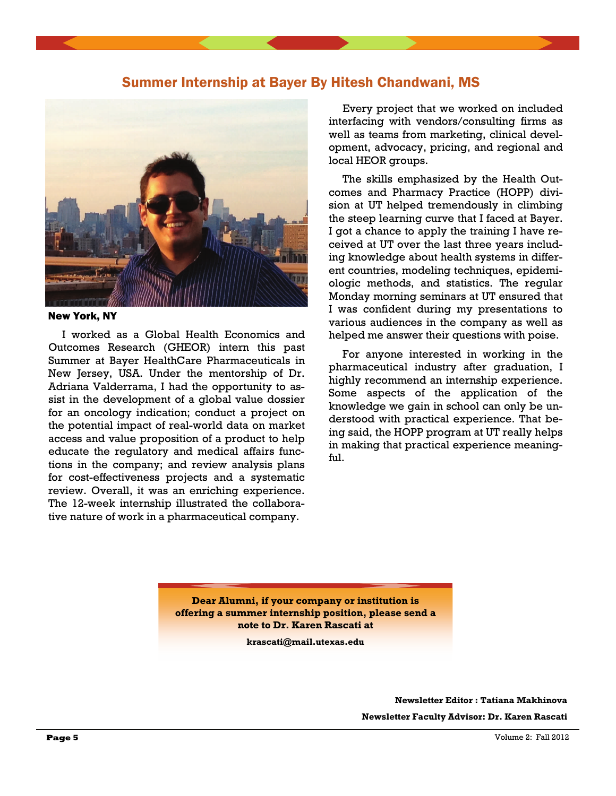## Summer Internship at Bayer By Hitesh Chandwani, MS



#### New York, NY

 I worked as a Global Health Economics and Outcomes Research (GHEOR) intern this past Summer at Bayer HealthCare Pharmaceuticals in New Jersey, USA. Under the mentorship of Dr. Adriana Valderrama, I had the opportunity to assist in the development of a global value dossier for an oncology indication; conduct a project on the potential impact of real-world data on market access and value proposition of a product to help educate the regulatory and medical affairs functions in the company; and review analysis plans for cost-effectiveness projects and a systematic review. Overall, it was an enriching experience. The 12-week internship illustrated the collaborative nature of work in a pharmaceutical company.

 Every project that we worked on included interfacing with vendors/consulting firms as well as teams from marketing, clinical development, advocacy, pricing, and regional and local HEOR groups.

 The skills emphasized by the Health Outcomes and Pharmacy Practice (HOPP) division at UT helped tremendously in climbing the steep learning curve that I faced at Bayer. I got a chance to apply the training I have received at UT over the last three years including knowledge about health systems in different countries, modeling techniques, epidemiologic methods, and statistics. The regular Monday morning seminars at UT ensured that I was confident during my presentations to various audiences in the company as well as helped me answer their questions with poise.

 For anyone interested in working in the pharmaceutical industry after graduation, I highly recommend an internship experience. Some aspects of the application of the knowledge we gain in school can only be understood with practical experience. That being said, the HOPP program at UT really helps in making that practical experience meaningful.

**Dear Alumni, if your company or institution is offering a summer internship position, please send a note to Dr. Karen Rascati at** 

**krascati@mail.utexas.edu** 

**Newsletter Editor : Tatiana Makhinova Newsletter Faculty Advisor: Dr. Karen Rascati**